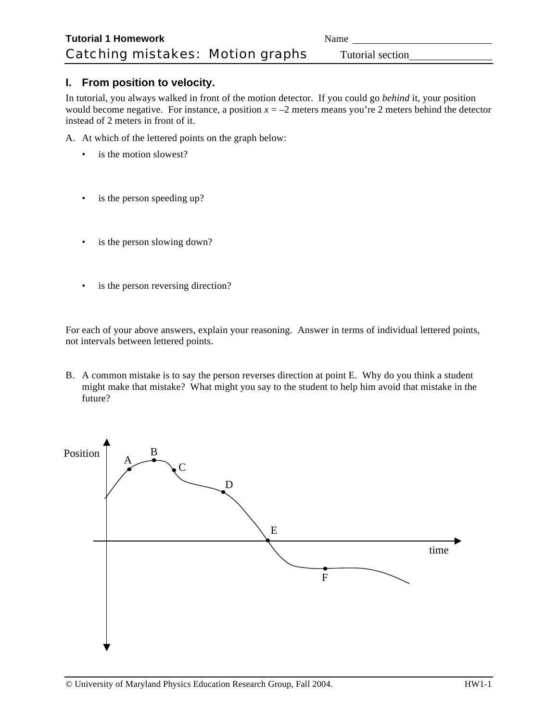## **I. From position to velocity.**

In tutorial, you always walked in front of the motion detector. If you could go *behind* it, your position would become negative. For instance, a position  $x = -2$  meters means you're 2 meters behind the detector instead of 2 meters in front of it.

A. At which of the lettered points on the graph below:

- is the motion slowest?
- is the person speeding up?
- is the person slowing down?
- is the person reversing direction?

For each of your above answers, explain your reasoning. Answer in terms of individual lettered points, not intervals between lettered points.

B. A common mistake is to say the person reverses direction at point E. Why do you think a student might make that mistake? What might you say to the student to help him avoid that mistake in the future?

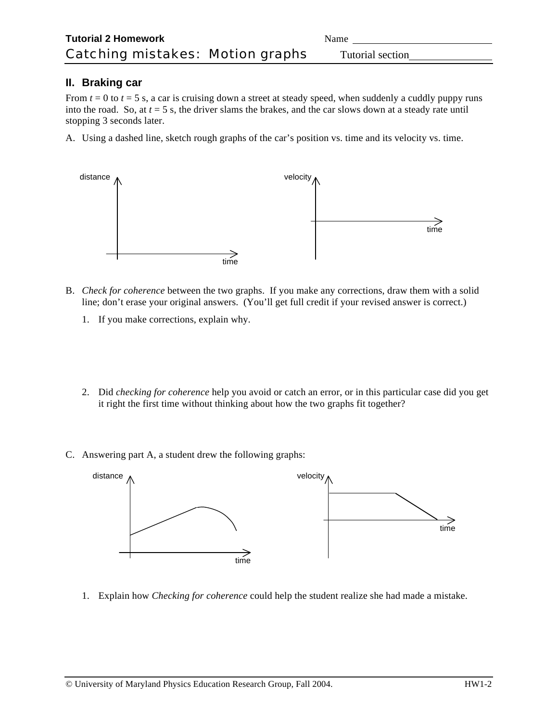## **II. Braking car**

distance

distance

From  $t = 0$  to  $t = 5$  s, a car is cruising down a street at steady speed, when suddenly a cuddly puppy runs into the road. So, at *t* = 5 s, the driver slams the brakes, and the car slows down at a steady rate until stopping 3 seconds later.

velocity

A. Using a dashed line, sketch rough graphs of the car's position vs. time and its velocity vs. time.



time

- 1. If you make corrections, explain why.
- 2. Did *checking for coherence* help you avoid or catch an error, or in this particular case did you get it right the first time without thinking about how the two graphs fit together?
- C. Answering part A, a student drew the following graphs:





time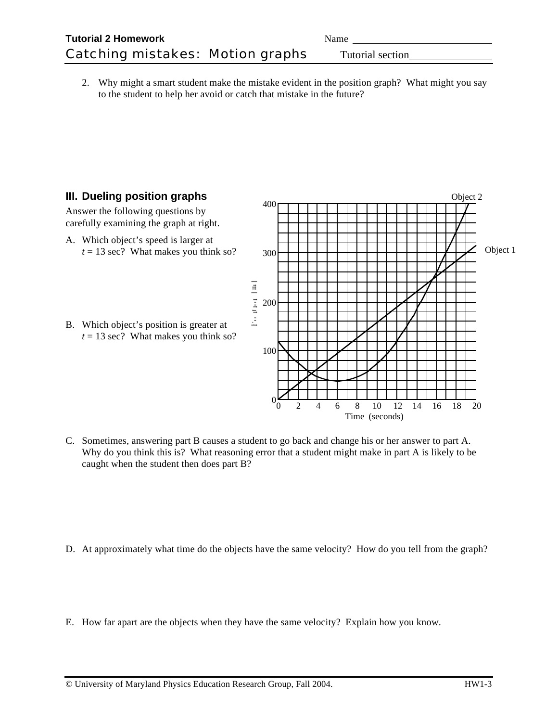2. Why might a smart student make the mistake evident in the position graph? What might you say to the student to help her avoid or catch that mistake in the future?

## **III. Dueling position graphs**

Answer the following questions by carefully examining the graph at right.

- A. Which object's speed is larger at  $t = 13$  sec? What makes you think so?
- B. Which object's position is greater at  $t = 13$  sec? What makes you think so?



C. Sometimes, answering part B causes a student to go back and change his or her answer to part A. Why do you think this is? What reasoning error that a student might make in part A is likely to be caught when the student then does part B?

- D. At approximately what time do the objects have the same velocity? How do you tell from the graph?
- E. How far apart are the objects when they have the same velocity? Explain how you know.